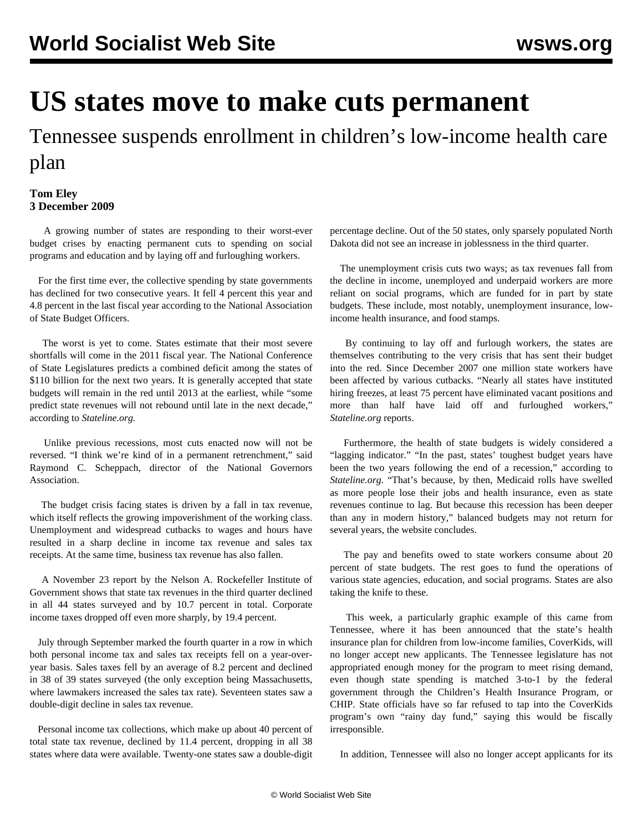## **US states move to make cuts permanent**

Tennessee suspends enrollment in children's low-income health care plan

## **Tom Eley 3 December 2009**

 A growing number of states are responding to their worst-ever budget crises by enacting permanent cuts to spending on social programs and education and by laying off and furloughing workers.

 For the first time ever, the collective spending by state governments has declined for two consecutive years. It fell 4 percent this year and 4.8 percent in the last fiscal year according to the National Association of State Budget Officers.

 The worst is yet to come. States estimate that their most severe shortfalls will come in the 2011 fiscal year. The National Conference of State Legislatures predicts a combined deficit among the states of \$110 billion for the next two years. It is generally accepted that state budgets will remain in the red until 2013 at the earliest, while "some predict state revenues will not rebound until late in the next decade," according to *Stateline.org.*

 Unlike previous recessions, most cuts enacted now will not be reversed. "I think we're kind of in a permanent retrenchment," said Raymond C. Scheppach, director of the National Governors Association.

 The budget crisis facing states is driven by a fall in tax revenue, which itself reflects the growing impoverishment of the working class. Unemployment and widespread cutbacks to wages and hours have resulted in a sharp decline in income tax revenue and sales tax receipts. At the same time, business tax revenue has also fallen.

 A November 23 report by the Nelson A. Rockefeller Institute of Government shows that state tax revenues in the third quarter declined in all 44 states surveyed and by 10.7 percent in total. Corporate income taxes dropped off even more sharply, by 19.4 percent.

 July through September marked the fourth quarter in a row in which both personal income tax and sales tax receipts fell on a year-overyear basis. Sales taxes fell by an average of 8.2 percent and declined in 38 of 39 states surveyed (the only exception being Massachusetts, where lawmakers increased the sales tax rate). Seventeen states saw a double-digit decline in sales tax revenue.

 Personal income tax collections, which make up about 40 percent of total state tax revenue, declined by 11.4 percent, dropping in all 38 states where data were available. Twenty-one states saw a double-digit percentage decline. Out of the 50 states, only sparsely populated North Dakota did not see an increase in joblessness in the third quarter.

 The unemployment crisis cuts two ways; as tax revenues fall from the decline in income, unemployed and underpaid workers are more reliant on social programs, which are funded for in part by state budgets. These include, most notably, unemployment insurance, lowincome health insurance, and food stamps.

 By continuing to lay off and furlough workers, the states are themselves contributing to the very crisis that has sent their budget into the red. Since December 2007 one million state workers have been affected by various cutbacks. "Nearly all states have instituted hiring freezes, at least 75 percent have eliminated vacant positions and more than half have laid off and furloughed workers," *Stateline.org* reports.

 Furthermore, the health of state budgets is widely considered a "lagging indicator." "In the past, states' toughest budget years have been the two years following the end of a recession," according to *Stateline.org*. "That's because, by then, Medicaid rolls have swelled as more people lose their jobs and health insurance, even as state revenues continue to lag. But because this recession has been deeper than any in modern history," balanced budgets may not return for several years, the website concludes.

 The pay and benefits owed to state workers consume about 20 percent of state budgets. The rest goes to fund the operations of various state agencies, education, and social programs. States are also taking the knife to these.

 This week, a particularly graphic example of this came from Tennessee, where it has been announced that the state's health insurance plan for children from low-income families, CoverKids, will no longer accept new applicants. The Tennessee legislature has not appropriated enough money for the program to meet rising demand, even though state spending is matched 3-to-1 by the federal government through the Children's Health Insurance Program, or CHIP. State officials have so far refused to tap into the CoverKids program's own "rainy day fund," saying this would be fiscally irresponsible.

In addition, Tennessee will also no longer accept applicants for its